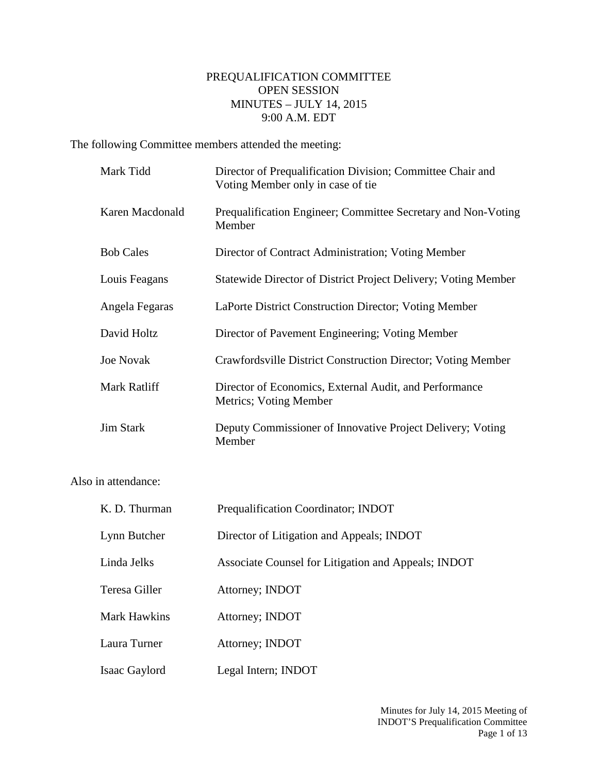## PREQUALIFICATION COMMITTEE OPEN SESSION MINUTES – JULY 14, 2015 9:00 A.M. EDT

The following Committee members attended the meeting:

| Mark Tidd        | Director of Prequalification Division; Committee Chair and<br>Voting Member only in case of tie |
|------------------|-------------------------------------------------------------------------------------------------|
| Karen Macdonald  | Prequalification Engineer; Committee Secretary and Non-Voting<br>Member                         |
| <b>Bob Cales</b> | Director of Contract Administration; Voting Member                                              |
| Louis Feagans    | Statewide Director of District Project Delivery; Voting Member                                  |
| Angela Fegaras   | LaPorte District Construction Director; Voting Member                                           |
| David Holtz      | Director of Pavement Engineering; Voting Member                                                 |
| <b>Joe Novak</b> | Crawfordsville District Construction Director; Voting Member                                    |
| Mark Ratliff     | Director of Economics, External Audit, and Performance<br>Metrics; Voting Member                |
| <b>Jim Stark</b> | Deputy Commissioner of Innovative Project Delivery; Voting<br>Member                            |

Also in attendance:

| K. D. Thurman       | Prequalification Coordinator; INDOT                 |
|---------------------|-----------------------------------------------------|
| Lynn Butcher        | Director of Litigation and Appeals; INDOT           |
| Linda Jelks         | Associate Counsel for Litigation and Appeals; INDOT |
| Teresa Giller       | Attorney; INDOT                                     |
| <b>Mark Hawkins</b> | Attorney; INDOT                                     |
| Laura Turner        | Attorney; INDOT                                     |
| Isaac Gaylord       | Legal Intern; INDOT                                 |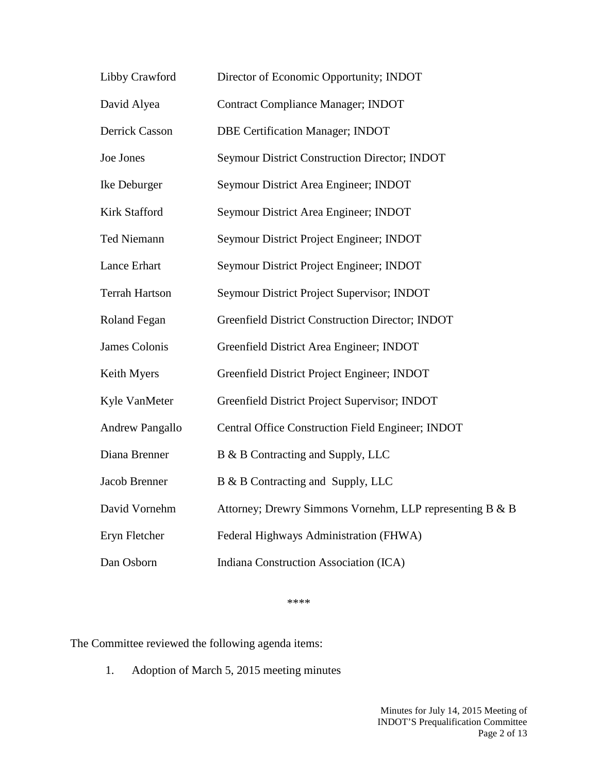| Libby Crawford         | Director of Economic Opportunity; INDOT                  |
|------------------------|----------------------------------------------------------|
| David Alyea            | <b>Contract Compliance Manager; INDOT</b>                |
| Derrick Casson         | <b>DBE Certification Manager; INDOT</b>                  |
| Joe Jones              | Seymour District Construction Director; INDOT            |
| Ike Deburger           | Seymour District Area Engineer; INDOT                    |
| <b>Kirk Stafford</b>   | Seymour District Area Engineer; INDOT                    |
| Ted Niemann            | Seymour District Project Engineer; INDOT                 |
| <b>Lance Erhart</b>    | Seymour District Project Engineer; INDOT                 |
| <b>Terrah Hartson</b>  | Seymour District Project Supervisor; INDOT               |
| Roland Fegan           | Greenfield District Construction Director; INDOT         |
| James Colonis          | Greenfield District Area Engineer; INDOT                 |
| Keith Myers            | Greenfield District Project Engineer; INDOT              |
| Kyle VanMeter          | Greenfield District Project Supervisor; INDOT            |
| <b>Andrew Pangallo</b> | Central Office Construction Field Engineer; INDOT        |
| Diana Brenner          | B & B Contracting and Supply, LLC                        |
| Jacob Brenner          | B & B Contracting and Supply, LLC                        |
| David Vornehm          | Attorney; Drewry Simmons Vornehm, LLP representing B & B |
| Eryn Fletcher          | Federal Highways Administration (FHWA)                   |
| Dan Osborn             | Indiana Construction Association (ICA)                   |

\*\*\*\*

The Committee reviewed the following agenda items:

1. Adoption of March 5, 2015 meeting minutes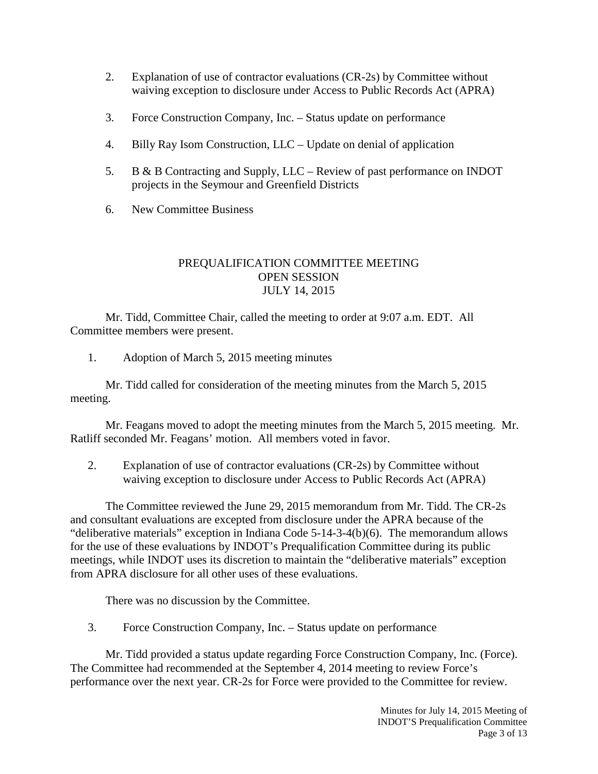- 2. Explanation of use of contractor evaluations (CR-2s) by Committee without waiving exception to disclosure under Access to Public Records Act (APRA)
- 3. Force Construction Company, Inc. Status update on performance
- 4. Billy Ray Isom Construction, LLC Update on denial of application
- 5. B & B Contracting and Supply, LLC Review of past performance on INDOT projects in the Seymour and Greenfield Districts
- 6. New Committee Business

## PREQUALIFICATION COMMITTEE MEETING OPEN SESSION JULY 14, 2015

Mr. Tidd, Committee Chair, called the meeting to order at 9:07 a.m. EDT. All Committee members were present.

1. Adoption of March 5, 2015 meeting minutes

Mr. Tidd called for consideration of the meeting minutes from the March 5, 2015 meeting.

Mr. Feagans moved to adopt the meeting minutes from the March 5, 2015 meeting. Mr. Ratliff seconded Mr. Feagans' motion. All members voted in favor.

2. Explanation of use of contractor evaluations (CR-2s) by Committee without waiving exception to disclosure under Access to Public Records Act (APRA)

The Committee reviewed the June 29, 2015 memorandum from Mr. Tidd. The CR-2s and consultant evaluations are excepted from disclosure under the APRA because of the "deliberative materials" exception in Indiana Code 5-14-3-4(b)(6). The memorandum allows for the use of these evaluations by INDOT's Prequalification Committee during its public meetings, while INDOT uses its discretion to maintain the "deliberative materials" exception from APRA disclosure for all other uses of these evaluations.

There was no discussion by the Committee.

3. Force Construction Company, Inc. – Status update on performance

Mr. Tidd provided a status update regarding Force Construction Company, Inc. (Force). The Committee had recommended at the September 4, 2014 meeting to review Force's performance over the next year. CR-2s for Force were provided to the Committee for review.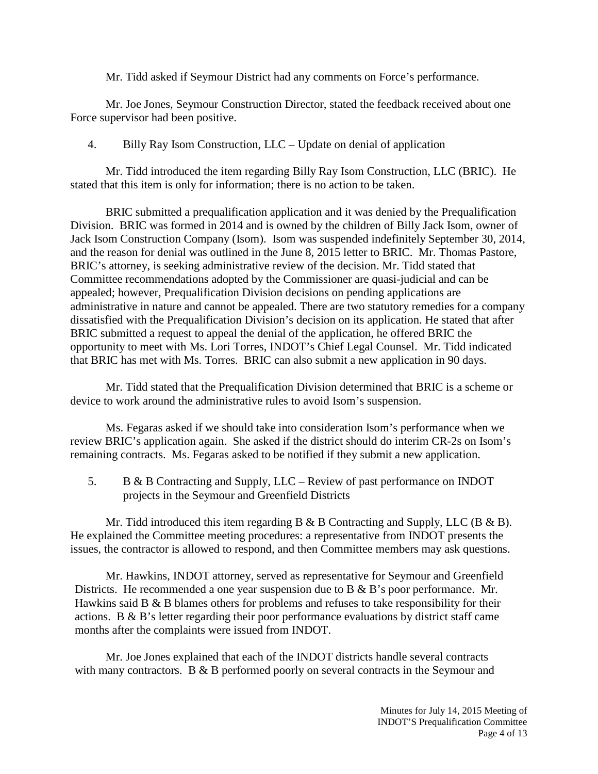Mr. Tidd asked if Seymour District had any comments on Force's performance.

Mr. Joe Jones, Seymour Construction Director, stated the feedback received about one Force supervisor had been positive.

4. Billy Ray Isom Construction, LLC – Update on denial of application

Mr. Tidd introduced the item regarding Billy Ray Isom Construction, LLC (BRIC). He stated that this item is only for information; there is no action to be taken.

BRIC submitted a prequalification application and it was denied by the Prequalification Division. BRIC was formed in 2014 and is owned by the children of Billy Jack Isom, owner of Jack Isom Construction Company (Isom). Isom was suspended indefinitely September 30, 2014, and the reason for denial was outlined in the June 8, 2015 letter to BRIC. Mr. Thomas Pastore, BRIC's attorney, is seeking administrative review of the decision. Mr. Tidd stated that Committee recommendations adopted by the Commissioner are quasi-judicial and can be appealed; however, Prequalification Division decisions on pending applications are administrative in nature and cannot be appealed. There are two statutory remedies for a company dissatisfied with the Prequalification Division's decision on its application. He stated that after BRIC submitted a request to appeal the denial of the application, he offered BRIC the opportunity to meet with Ms. Lori Torres, INDOT's Chief Legal Counsel. Mr. Tidd indicated that BRIC has met with Ms. Torres. BRIC can also submit a new application in 90 days.

Mr. Tidd stated that the Prequalification Division determined that BRIC is a scheme or device to work around the administrative rules to avoid Isom's suspension.

Ms. Fegaras asked if we should take into consideration Isom's performance when we review BRIC's application again. She asked if the district should do interim CR-2s on Isom's remaining contracts. Ms. Fegaras asked to be notified if they submit a new application.

5. B & B Contracting and Supply, LLC – Review of past performance on INDOT projects in the Seymour and Greenfield Districts

Mr. Tidd introduced this item regarding B & B Contracting and Supply, LLC (B & B). He explained the Committee meeting procedures: a representative from INDOT presents the issues, the contractor is allowed to respond, and then Committee members may ask questions.

Mr. Hawkins, INDOT attorney, served as representative for Seymour and Greenfield Districts. He recommended a one year suspension due to B & B's poor performance. Mr. Hawkins said B & B blames others for problems and refuses to take responsibility for their actions. B & B's letter regarding their poor performance evaluations by district staff came months after the complaints were issued from INDOT.

Mr. Joe Jones explained that each of the INDOT districts handle several contracts with many contractors. B & B performed poorly on several contracts in the Seymour and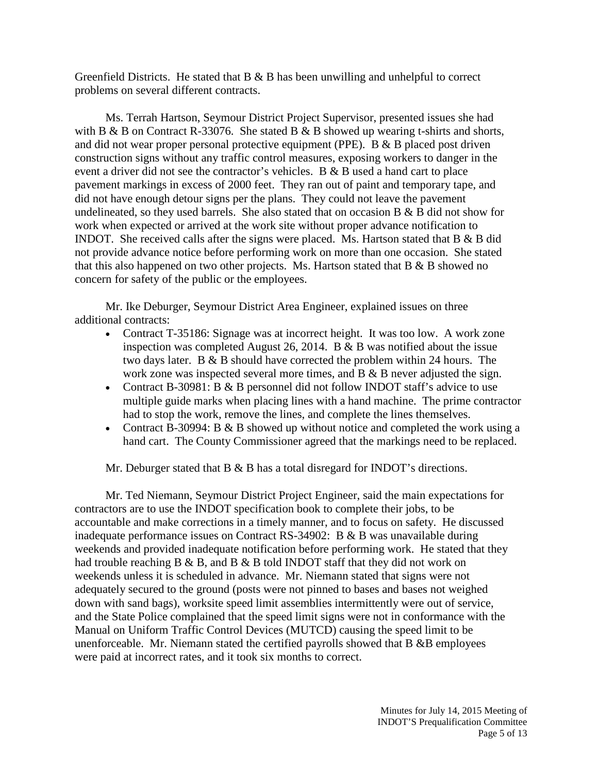Greenfield Districts. He stated that  $B \& B$  has been unwilling and unhelpful to correct problems on several different contracts.

Ms. Terrah Hartson, Seymour District Project Supervisor, presented issues she had with B & B on Contract R-33076. She stated B & B showed up wearing t-shirts and shorts, and did not wear proper personal protective equipment (PPE). B & B placed post driven construction signs without any traffic control measures, exposing workers to danger in the event a driver did not see the contractor's vehicles. B & B used a hand cart to place pavement markings in excess of 2000 feet. They ran out of paint and temporary tape, and did not have enough detour signs per the plans. They could not leave the pavement undelineated, so they used barrels. She also stated that on occasion B  $\&$  B did not show for work when expected or arrived at the work site without proper advance notification to INDOT. She received calls after the signs were placed. Ms. Hartson stated that B & B did not provide advance notice before performing work on more than one occasion. She stated that this also happened on two other projects. Ms. Hartson stated that  $B \& B$  showed no concern for safety of the public or the employees.

Mr. Ike Deburger, Seymour District Area Engineer, explained issues on three additional contracts:

- Contract T-35186: Signage was at incorrect height. It was too low. A work zone inspection was completed August 26, 2014. B & B was notified about the issue two days later. B & B should have corrected the problem within 24 hours. The work zone was inspected several more times, and B & B never adjusted the sign.
- Contract B-30981: B & B personnel did not follow INDOT staff's advice to use multiple guide marks when placing lines with a hand machine. The prime contractor had to stop the work, remove the lines, and complete the lines themselves.
- Contract B-30994: B & B showed up without notice and completed the work using a hand cart. The County Commissioner agreed that the markings need to be replaced.

Mr. Deburger stated that B & B has a total disregard for INDOT's directions.

Mr. Ted Niemann, Seymour District Project Engineer, said the main expectations for contractors are to use the INDOT specification book to complete their jobs, to be accountable and make corrections in a timely manner, and to focus on safety. He discussed inadequate performance issues on Contract RS-34902: B & B was unavailable during weekends and provided inadequate notification before performing work. He stated that they had trouble reaching  $B \& B$ , and  $B \& B$  told INDOT staff that they did not work on weekends unless it is scheduled in advance. Mr. Niemann stated that signs were not adequately secured to the ground (posts were not pinned to bases and bases not weighed down with sand bags), worksite speed limit assemblies intermittently were out of service, and the State Police complained that the speed limit signs were not in conformance with the Manual on Uniform Traffic Control Devices (MUTCD) causing the speed limit to be unenforceable. Mr. Niemann stated the certified payrolls showed that B &B employees were paid at incorrect rates, and it took six months to correct.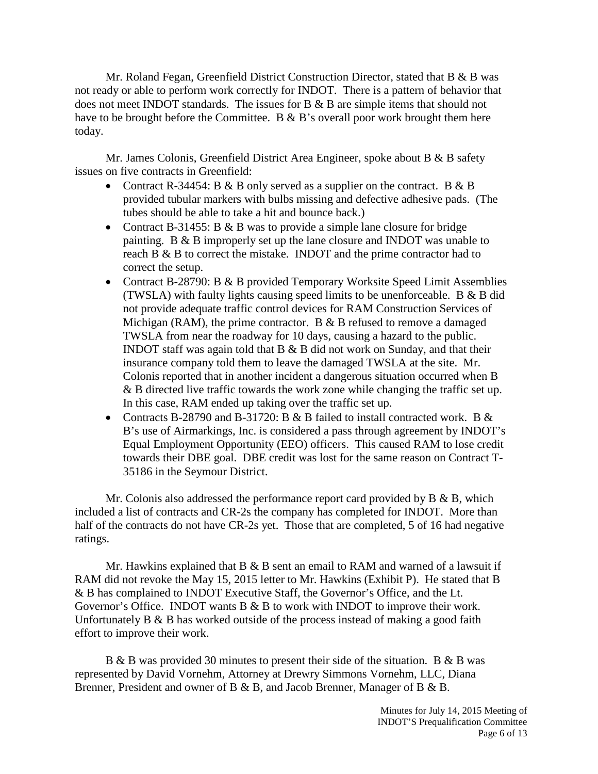Mr. Roland Fegan, Greenfield District Construction Director, stated that B & B was not ready or able to perform work correctly for INDOT. There is a pattern of behavior that does not meet INDOT standards. The issues for B & B are simple items that should not have to be brought before the Committee. B & B's overall poor work brought them here today.

Mr. James Colonis, Greenfield District Area Engineer, spoke about B & B safety issues on five contracts in Greenfield:

- Contract R-34454: B & B only served as a supplier on the contract. B & B provided tubular markers with bulbs missing and defective adhesive pads. (The tubes should be able to take a hit and bounce back.)
- Contract B-31455: B & B was to provide a simple lane closure for bridge painting. B & B improperly set up the lane closure and INDOT was unable to reach B & B to correct the mistake. INDOT and the prime contractor had to correct the setup.
- Contract B-28790: B & B provided Temporary Worksite Speed Limit Assemblies (TWSLA) with faulty lights causing speed limits to be unenforceable. B & B did not provide adequate traffic control devices for RAM Construction Services of Michigan (RAM), the prime contractor. B  $&$  B refused to remove a damaged TWSLA from near the roadway for 10 days, causing a hazard to the public. INDOT staff was again told that B & B did not work on Sunday, and that their insurance company told them to leave the damaged TWSLA at the site. Mr. Colonis reported that in another incident a dangerous situation occurred when B & B directed live traffic towards the work zone while changing the traffic set up. In this case, RAM ended up taking over the traffic set up.
- Contracts B-28790 and B-31720: B & B failed to install contracted work. B & B's use of Airmarkings, Inc. is considered a pass through agreement by INDOT's Equal Employment Opportunity (EEO) officers. This caused RAM to lose credit towards their DBE goal. DBE credit was lost for the same reason on Contract T-35186 in the Seymour District.

Mr. Colonis also addressed the performance report card provided by  $B \& B$ , which included a list of contracts and CR-2s the company has completed for INDOT. More than half of the contracts do not have CR-2s yet. Those that are completed, 5 of 16 had negative ratings.

Mr. Hawkins explained that  $B \& B$  sent an email to RAM and warned of a lawsuit if RAM did not revoke the May 15, 2015 letter to Mr. Hawkins (Exhibit P). He stated that B & B has complained to INDOT Executive Staff, the Governor's Office, and the Lt. Governor's Office. INDOT wants B & B to work with INDOT to improve their work. Unfortunately B & B has worked outside of the process instead of making a good faith effort to improve their work.

B & B was provided 30 minutes to present their side of the situation. B & B was represented by David Vornehm, Attorney at Drewry Simmons Vornehm, LLC, Diana Brenner, President and owner of B & B, and Jacob Brenner, Manager of B & B.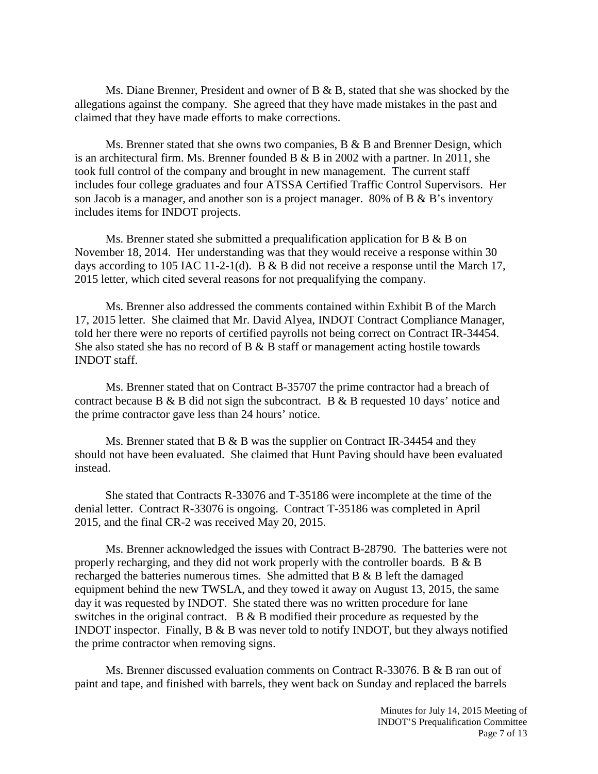Ms. Diane Brenner, President and owner of B & B, stated that she was shocked by the allegations against the company. She agreed that they have made mistakes in the past and claimed that they have made efforts to make corrections.

Ms. Brenner stated that she owns two companies,  $B \& B$  and Brenner Design, which is an architectural firm. Ms. Brenner founded B & B in 2002 with a partner. In 2011, she took full control of the company and brought in new management. The current staff includes four college graduates and four ATSSA Certified Traffic Control Supervisors. Her son Jacob is a manager, and another son is a project manager. 80% of B & B's inventory includes items for INDOT projects.

Ms. Brenner stated she submitted a prequalification application for B & B on November 18, 2014. Her understanding was that they would receive a response within 30 days according to 105 IAC 11-2-1(d). B & B did not receive a response until the March 17, 2015 letter, which cited several reasons for not prequalifying the company.

Ms. Brenner also addressed the comments contained within Exhibit B of the March 17, 2015 letter. She claimed that Mr. David Alyea, INDOT Contract Compliance Manager, told her there were no reports of certified payrolls not being correct on Contract IR-34454. She also stated she has no record of B & B staff or management acting hostile towards INDOT staff.

Ms. Brenner stated that on Contract B-35707 the prime contractor had a breach of contract because B & B did not sign the subcontract. B & B requested 10 days' notice and the prime contractor gave less than 24 hours' notice.

Ms. Brenner stated that B  $\&$  B was the supplier on Contract IR-34454 and they should not have been evaluated. She claimed that Hunt Paving should have been evaluated instead.

She stated that Contracts R-33076 and T-35186 were incomplete at the time of the denial letter. Contract R-33076 is ongoing. Contract T-35186 was completed in April 2015, and the final CR-2 was received May 20, 2015.

Ms. Brenner acknowledged the issues with Contract B-28790. The batteries were not properly recharging, and they did not work properly with the controller boards. B & B recharged the batteries numerous times. She admitted that B & B left the damaged equipment behind the new TWSLA, and they towed it away on August 13, 2015, the same day it was requested by INDOT. She stated there was no written procedure for lane switches in the original contract. B & B modified their procedure as requested by the INDOT inspector. Finally, B & B was never told to notify INDOT, but they always notified the prime contractor when removing signs.

Ms. Brenner discussed evaluation comments on Contract R-33076. B & B ran out of paint and tape, and finished with barrels, they went back on Sunday and replaced the barrels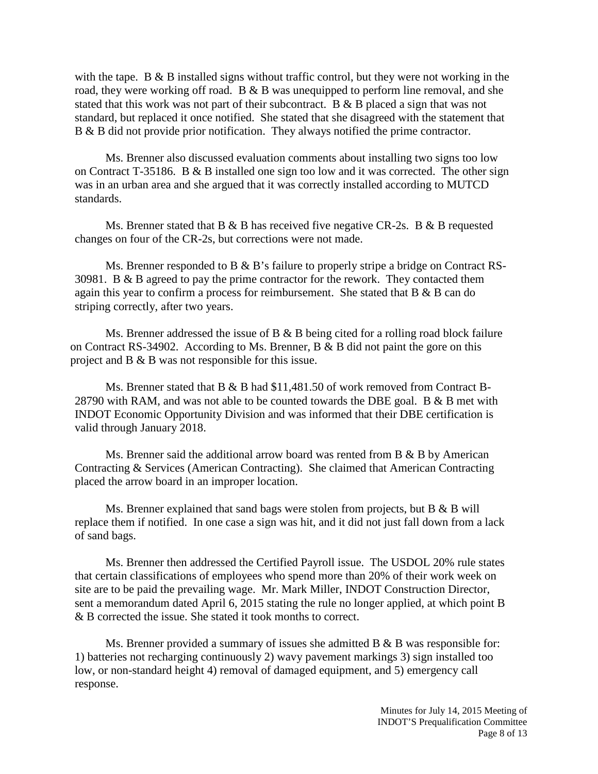with the tape. B & B installed signs without traffic control, but they were not working in the road, they were working off road. B & B was unequipped to perform line removal, and she stated that this work was not part of their subcontract. B & B placed a sign that was not standard, but replaced it once notified. She stated that she disagreed with the statement that B & B did not provide prior notification. They always notified the prime contractor.

Ms. Brenner also discussed evaluation comments about installing two signs too low on Contract T-35186. B & B installed one sign too low and it was corrected. The other sign was in an urban area and she argued that it was correctly installed according to MUTCD standards.

Ms. Brenner stated that B & B has received five negative CR-2s. B & B requested changes on four of the CR-2s, but corrections were not made.

Ms. Brenner responded to B & B's failure to properly stripe a bridge on Contract RS-30981. B & B agreed to pay the prime contractor for the rework. They contacted them again this year to confirm a process for reimbursement. She stated that B & B can do striping correctly, after two years.

Ms. Brenner addressed the issue of B & B being cited for a rolling road block failure on Contract RS-34902. According to Ms. Brenner, B & B did not paint the gore on this project and B & B was not responsible for this issue.

Ms. Brenner stated that B & B had \$11,481.50 of work removed from Contract B-28790 with RAM, and was not able to be counted towards the DBE goal. B  $\&$  B met with INDOT Economic Opportunity Division and was informed that their DBE certification is valid through January 2018.

Ms. Brenner said the additional arrow board was rented from  $B \& B$  by American Contracting & Services (American Contracting). She claimed that American Contracting placed the arrow board in an improper location.

Ms. Brenner explained that sand bags were stolen from projects, but B & B will replace them if notified. In one case a sign was hit, and it did not just fall down from a lack of sand bags.

Ms. Brenner then addressed the Certified Payroll issue. The USDOL 20% rule states that certain classifications of employees who spend more than 20% of their work week on site are to be paid the prevailing wage. Mr. Mark Miller, INDOT Construction Director, sent a memorandum dated April 6, 2015 stating the rule no longer applied, at which point B & B corrected the issue. She stated it took months to correct.

Ms. Brenner provided a summary of issues she admitted B & B was responsible for: 1) batteries not recharging continuously 2) wavy pavement markings 3) sign installed too low, or non-standard height 4) removal of damaged equipment, and 5) emergency call response.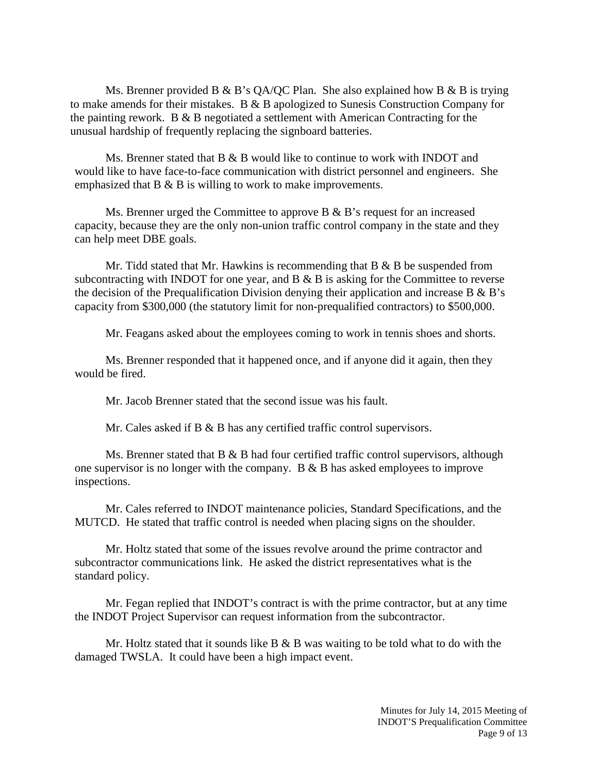Ms. Brenner provided B & B's QA/QC Plan. She also explained how B & B is trying to make amends for their mistakes. B & B apologized to Sunesis Construction Company for the painting rework. B  $\&$  B negotiated a settlement with American Contracting for the unusual hardship of frequently replacing the signboard batteries.

Ms. Brenner stated that B & B would like to continue to work with INDOT and would like to have face-to-face communication with district personnel and engineers. She emphasized that B & B is willing to work to make improvements.

Ms. Brenner urged the Committee to approve  $B \& B$ 's request for an increased capacity, because they are the only non-union traffic control company in the state and they can help meet DBE goals.

Mr. Tidd stated that Mr. Hawkins is recommending that  $B & B$  be suspended from subcontracting with INDOT for one year, and  $B \& B$  is asking for the Committee to reverse the decision of the Prequalification Division denying their application and increase B  $\&$  B's capacity from \$300,000 (the statutory limit for non-prequalified contractors) to \$500,000.

Mr. Feagans asked about the employees coming to work in tennis shoes and shorts.

Ms. Brenner responded that it happened once, and if anyone did it again, then they would be fired.

Mr. Jacob Brenner stated that the second issue was his fault.

Mr. Cales asked if B & B has any certified traffic control supervisors.

Ms. Brenner stated that  $B \& B$  had four certified traffic control supervisors, although one supervisor is no longer with the company. B & B has asked employees to improve inspections.

Mr. Cales referred to INDOT maintenance policies, Standard Specifications, and the MUTCD. He stated that traffic control is needed when placing signs on the shoulder.

Mr. Holtz stated that some of the issues revolve around the prime contractor and subcontractor communications link. He asked the district representatives what is the standard policy.

Mr. Fegan replied that INDOT's contract is with the prime contractor, but at any time the INDOT Project Supervisor can request information from the subcontractor.

Mr. Holtz stated that it sounds like B  $\&$  B was waiting to be told what to do with the damaged TWSLA. It could have been a high impact event.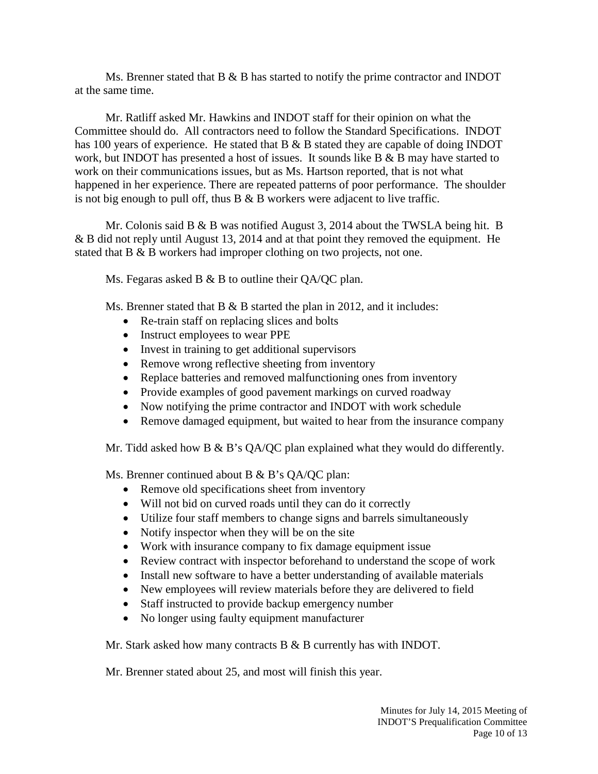Ms. Brenner stated that  $B \& B$  has started to notify the prime contractor and INDOT at the same time.

Mr. Ratliff asked Mr. Hawkins and INDOT staff for their opinion on what the Committee should do. All contractors need to follow the Standard Specifications. INDOT has 100 years of experience. He stated that B & B stated they are capable of doing INDOT work, but INDOT has presented a host of issues. It sounds like  $B \& B$  may have started to work on their communications issues, but as Ms. Hartson reported, that is not what happened in her experience. There are repeated patterns of poor performance. The shoulder is not big enough to pull off, thus  $B \& B$  workers were adjacent to live traffic.

Mr. Colonis said B & B was notified August 3, 2014 about the TWSLA being hit. B & B did not reply until August 13, 2014 and at that point they removed the equipment. He stated that B & B workers had improper clothing on two projects, not one.

Ms. Fegaras asked B  $&$  B to outline their QA/QC plan.

Ms. Brenner stated that B & B started the plan in 2012, and it includes:

- Re-train staff on replacing slices and bolts
- Instruct employees to wear PPE
- Invest in training to get additional supervisors
- Remove wrong reflective sheeting from inventory
- Replace batteries and removed malfunctioning ones from inventory
- Provide examples of good pavement markings on curved roadway
- Now notifying the prime contractor and INDOT with work schedule
- Remove damaged equipment, but waited to hear from the insurance company

Mr. Tidd asked how B & B's QA/QC plan explained what they would do differently.

Ms. Brenner continued about B & B's QA/QC plan:

- Remove old specifications sheet from inventory
- Will not bid on curved roads until they can do it correctly
- Utilize four staff members to change signs and barrels simultaneously
- Notify inspector when they will be on the site
- Work with insurance company to fix damage equipment issue
- Review contract with inspector beforehand to understand the scope of work
- Install new software to have a better understanding of available materials
- New employees will review materials before they are delivered to field
- Staff instructed to provide backup emergency number
- No longer using faulty equipment manufacturer

Mr. Stark asked how many contracts B & B currently has with INDOT.

Mr. Brenner stated about 25, and most will finish this year.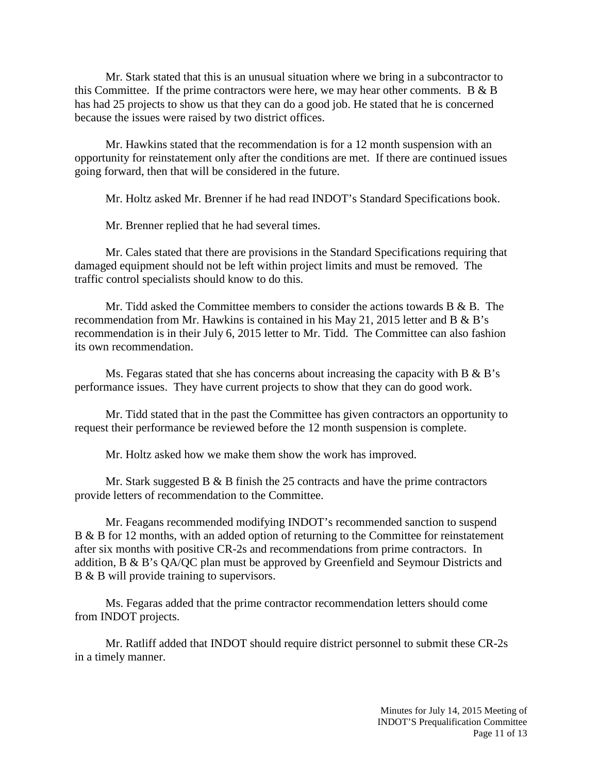Mr. Stark stated that this is an unusual situation where we bring in a subcontractor to this Committee. If the prime contractors were here, we may hear other comments. B  $\&$  B has had 25 projects to show us that they can do a good job. He stated that he is concerned because the issues were raised by two district offices.

Mr. Hawkins stated that the recommendation is for a 12 month suspension with an opportunity for reinstatement only after the conditions are met. If there are continued issues going forward, then that will be considered in the future.

Mr. Holtz asked Mr. Brenner if he had read INDOT's Standard Specifications book.

Mr. Brenner replied that he had several times.

Mr. Cales stated that there are provisions in the Standard Specifications requiring that damaged equipment should not be left within project limits and must be removed. The traffic control specialists should know to do this.

Mr. Tidd asked the Committee members to consider the actions towards  $B \& B$ . The recommendation from Mr. Hawkins is contained in his May 21, 2015 letter and B & B's recommendation is in their July 6, 2015 letter to Mr. Tidd. The Committee can also fashion its own recommendation.

Ms. Fegaras stated that she has concerns about increasing the capacity with  $B \& B$ 's performance issues. They have current projects to show that they can do good work.

Mr. Tidd stated that in the past the Committee has given contractors an opportunity to request their performance be reviewed before the 12 month suspension is complete.

Mr. Holtz asked how we make them show the work has improved.

Mr. Stark suggested B  $\&$  B finish the 25 contracts and have the prime contractors provide letters of recommendation to the Committee.

Mr. Feagans recommended modifying INDOT's recommended sanction to suspend B & B for 12 months, with an added option of returning to the Committee for reinstatement after six months with positive CR-2s and recommendations from prime contractors. In addition, B & B's QA/QC plan must be approved by Greenfield and Seymour Districts and B & B will provide training to supervisors.

Ms. Fegaras added that the prime contractor recommendation letters should come from INDOT projects.

Mr. Ratliff added that INDOT should require district personnel to submit these CR-2s in a timely manner.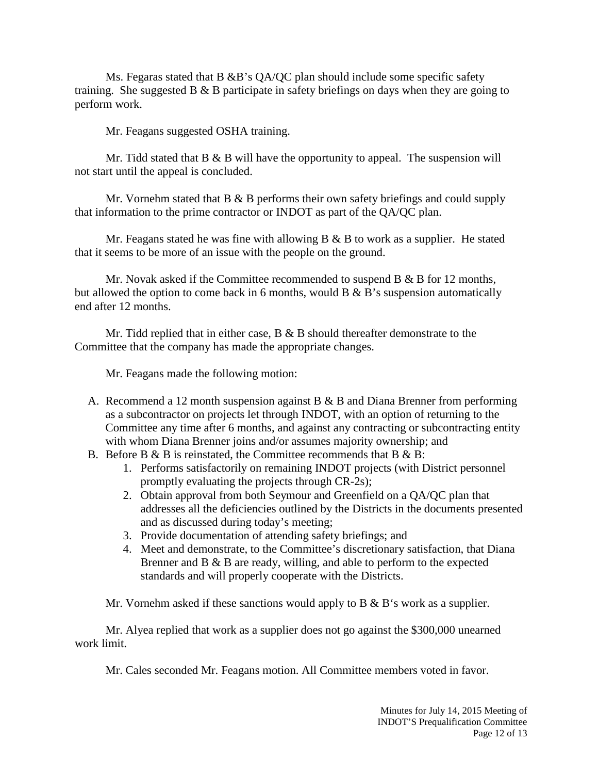Ms. Fegaras stated that B &B's  $OA/OC$  plan should include some specific safety training. She suggested B & B participate in safety briefings on days when they are going to perform work.

Mr. Feagans suggested OSHA training.

Mr. Tidd stated that  $B \& B$  will have the opportunity to appeal. The suspension will not start until the appeal is concluded.

Mr. Vornehm stated that B & B performs their own safety briefings and could supply that information to the prime contractor or INDOT as part of the QA/QC plan.

Mr. Feagans stated he was fine with allowing  $B \& B$  to work as a supplier. He stated that it seems to be more of an issue with the people on the ground.

Mr. Novak asked if the Committee recommended to suspend  $B \& B$  for 12 months, but allowed the option to come back in 6 months, would  $B \& B'$ s suspension automatically end after 12 months.

Mr. Tidd replied that in either case, B & B should thereafter demonstrate to the Committee that the company has made the appropriate changes.

Mr. Feagans made the following motion:

- A. Recommend a 12 month suspension against B & B and Diana Brenner from performing as a subcontractor on projects let through INDOT, with an option of returning to the Committee any time after 6 months, and against any contracting or subcontracting entity with whom Diana Brenner joins and/or assumes majority ownership; and
- B. Before B  $\&$  B is reinstated, the Committee recommends that B  $\&$  B:
	- 1. Performs satisfactorily on remaining INDOT projects (with District personnel promptly evaluating the projects through CR-2s);
	- 2. Obtain approval from both Seymour and Greenfield on a QA/QC plan that addresses all the deficiencies outlined by the Districts in the documents presented and as discussed during today's meeting;
	- 3. Provide documentation of attending safety briefings; and
	- 4. Meet and demonstrate, to the Committee's discretionary satisfaction, that Diana Brenner and B & B are ready, willing, and able to perform to the expected standards and will properly cooperate with the Districts.

Mr. Vornehm asked if these sanctions would apply to B & B's work as a supplier.

Mr. Alyea replied that work as a supplier does not go against the \$300,000 unearned work limit.

Mr. Cales seconded Mr. Feagans motion. All Committee members voted in favor.